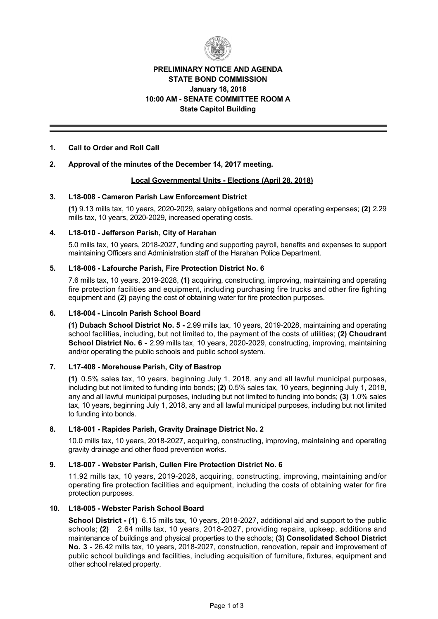

# **PRELIMINARY NOTICE AND AGENDA STATE BOND COMMISSION January 18, 2018 10:00 AM SENATE COMMITTEE ROOM A State Capitol Building**

## **1. Call to Order and Roll Call**

## **2. Approval of the minutes of the December 14, 2017 meeting.**

### **Local Governmental Units Elections (April 28, 2018)**

### **3. L18008 Cameron Parish Law Enforcement District**

**(1)** 9.13 mills tax, 10 years, 2020-2029, salary obligations and normal operating expenses; **(2)** 2.29 mills tax, 10 years, 2020-2029, increased operating costs.

### **4. L18010 Jefferson Parish, City of Harahan**

5.0 mills tax, 10 years, 2018-2027, funding and supporting payroll, benefits and expenses to support maintaining Officers and Administration staff of the Harahan Police Department.

## **5. L18006 Lafourche Parish, Fire Protection District No. 6**

7.6 mills tax, 10 years, 2019-2028, (1) acquiring, constructing, improving, maintaining and operating fire protection facilities and equipment, including purchasing fire trucks and other fire fighting equipment and **(2)** paying the cost of obtaining water for fire protection purposes.

## **6. L18004 Lincoln Parish School Board**

(1) Dubach School District No. 5 - 2.99 mills tax, 10 years, 2019-2028, maintaining and operating school facilities, including, but not limited to, the payment of the costs of utilities; **(2) Choudrant School District No. 6 - 2.99 mills tax, 10 years, 2020-2029, constructing, improving, maintaining** and/or operating the public schools and public school system.

## **7. L17408 Morehouse Parish, City of Bastrop**

**(1)** 0.5% sales tax, 10 years, beginning July 1, 2018, any and all lawful municipal purposes, including but not limited to funding into bonds; **(2)** 0.5% sales tax, 10 years, beginning July 1, 2018, any and all lawful municipal purposes, including but not limited to funding into bonds; **(3)** 1.0% sales tax, 10 years, beginning July 1, 2018, any and all lawful municipal purposes, including but not limited to funding into bonds.

## **8. L18001 Rapides Parish, Gravity Drainage District No. 2**

10.0 mills tax, 10 years, 2018-2027, acquiring, constructing, improving, maintaining and operating gravity drainage and other flood prevention works.

#### 9. L18-007 - Webster Parish, Cullen Fire Protection District No. 6

11.92 mills tax, 10 years, 2019-2028, acquiring, constructing, improving, maintaining and/or operating fire protection facilities and equipment, including the costs of obtaining water for fire protection purposes.

#### 10. L18-005 - Webster Parish School Board

**School District - (1)** 6.15 mills tax, 10 years, 2018-2027, additional aid and support to the public schools; (2) 2.64 mills tax, 10 years, 2018-2027, providing repairs, upkeep, additions and maintenance of buildings and physical properties to the schools; **(3) Consolidated School District** No. 3 - 26.42 mills tax, 10 years, 2018-2027, construction, renovation, repair and improvement of public school buildings and facilities, including acquisition of furniture, fixtures, equipment and other school related property.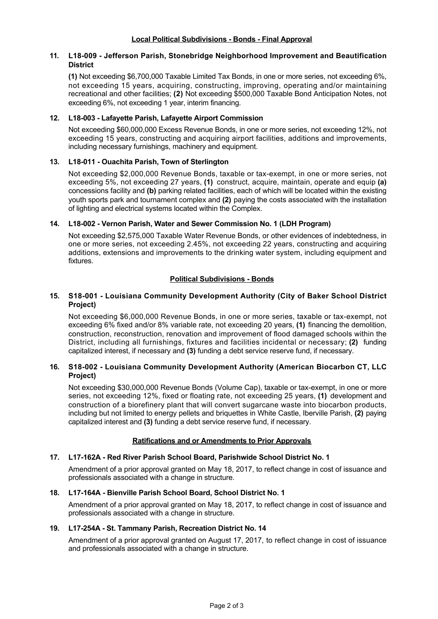#### **11. L18009 Jefferson Parish, Stonebridge Neighborhood Improvement and Beautification District**

**(1)** Not exceeding \$6,700,000 Taxable Limited Tax Bonds, in one or more series, not exceeding 6%, not exceeding 15 years, acquiring, constructing, improving, operating and/or maintaining recreational and other facilities; **(2)** Not exceeding \$500,000 Taxable Bond Anticipation Notes, not exceeding 6%, not exceeding 1 year, interim financing.

# **12. L18003 Lafayette Parish, Lafayette Airport Commission**

Not exceeding \$60,000,000 Excess Revenue Bonds, in one or more series, not exceeding 12%, not exceeding 15 years, constructing and acquiring airport facilities, additions and improvements, including necessary furnishings, machinery and equipment.

## **13. L18011 Ouachita Parish, Town of Sterlington**

Not exceeding \$2,000,000 Revenue Bonds, taxable or tax-exempt, in one or more series, not exceeding 5%, not exceeding 27 years, **(1)** construct, acquire, maintain, operate and equip **(a)** concessions facility and **(b)** parking related facilities, each of which will be located within the existing youth sports park and tournament complex and **(2)** paying the costs associated with the installation of lighting and electrical systems located within the Complex.

### **14. L18002 Vernon Parish, Water and Sewer Commission No. 1 (LDH Program)**

Not exceeding \$2,575,000 Taxable Water Revenue Bonds, or other evidences of indebtedness, in one or more series, not exceeding 2.45%, not exceeding 22 years, constructing and acquiring additions, extensions and improvements to the drinking water system, including equipment and fixtures.

## **Political Subdivisions - Bonds**

## **15. S18001 Louisiana Community Development Authority (City of Baker School District Project)**

Not exceeding \$6,000,000 Revenue Bonds, in one or more series, taxable or tax-exempt, not exceeding 6% fixed and/or 8% variable rate, not exceeding 20 years, **(1)** financing the demolition, construction, reconstruction, renovation and improvement of flood damaged schools within the District, including all furnishings, fixtures and facilities incidental or necessary; **(2)** funding capitalized interest, if necessary and **(3)** funding a debt service reserve fund, if necessary.

### **16. S18002 Louisiana Community Development Authority (American Biocarbon CT, LLC Project)**

Not exceeding \$30,000,000 Revenue Bonds (Volume Cap), taxable or tax-exempt, in one or more series, not exceeding 12%, fixed or floating rate, not exceeding 25 years, **(1)** development and construction of a biorefinery plant that will convert sugarcane waste into biocarbon products, including but not limited to energy pellets and briquettes in White Castle, Iberville Parish, **(2)** paying capitalized interest and **(3)** funding a debt service reserve fund, if necessary.

# **Ratifications and or Amendments to Prior Approvals**

#### **17. L17162A Red River Parish School Board, Parishwide School District No. 1**

Amendment of a prior approval granted on May 18, 2017, to reflect change in cost of issuance and professionals associated with a change in structure.

#### **18. L17164A Bienville Parish School Board, School District No. 1**

Amendment of a prior approval granted on May 18, 2017, to reflect change in cost of issuance and professionals associated with a change in structure.

#### **19. L17254A St. Tammany Parish, Recreation District No. 14**

Amendment of a prior approval granted on August 17, 2017, to reflect change in cost of issuance and professionals associated with a change in structure.